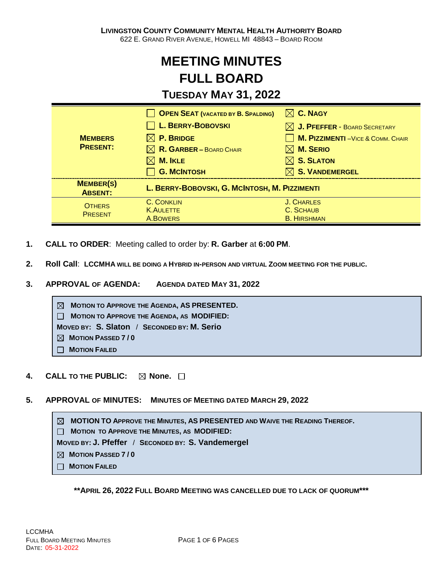# **MEETING MINUTES FULL BOARD**

## **TUESDAY MAY 31, 2022**

| <b>MEMBERS</b><br><b>PRESENT:</b>  | <b>OPEN SEAT (VACATED BY B. SPALDING)</b>     | $\boxtimes$ C. NAGY                       |
|------------------------------------|-----------------------------------------------|-------------------------------------------|
|                                    | L. BERRY-BOBOVSKI                             | $\boxtimes$ J. PFEFFER - BOARD SECRETARY  |
|                                    | $\boxtimes$ P. Bridge                         | <b>M. PIZZIMENTI</b> - VICE & COMM. CHAIR |
|                                    | $\boxtimes$ R. GARBER – BOARD CHAIR           | $\boxtimes$ M. Serio                      |
|                                    | $\boxtimes$ M. IKLE                           | $\boxtimes$ S. SLATON                     |
|                                    | <b>G. MCINTOSH</b>                            | $\boxtimes$ S. VANDEMERGEL                |
| <b>MEMBER(S)</b><br><b>ABSENT:</b> | L. BERRY-BOBOVSKI, G. MCINTOSH, M. PIZZIMENTI |                                           |
| <b>OTHERS</b><br><b>PRESENT</b>    | <b>C. CONKLIN</b>                             | J. CHARLES                                |
|                                    | <b>K.AULETTE</b>                              | C. SCHAUB                                 |
|                                    | A.BOWERS                                      | <b>B. HIRSHMAN</b>                        |

- **1. CALL TO ORDER**: Meeting called to order by: **R. Garber** at **6:00 PM**.
- **2. Roll Call**: **LCCMHA WILL BE DOING A HYBRID IN-PERSON AND VIRTUAL ZOOM MEETING FOR THE PUBLIC.**
- **3. APPROVAL OF AGENDA: AGENDA DATED MAY 31, 2022**

**MOTION TO APPROVE THE AGENDA, AS PRESENTED. MOTION TO APPROVE THE AGENDA, AS MODIFIED: MOVED BY: S. Slaton** / **SECONDED BY: M. Serio MOTION PASSED 7 / 0 MOTION FAILED**

- **4. CALL TO THE PUBLIC: None.**
- **5. APPROVAL OF MINUTES: MINUTES OF MEETING DATED MARCH 29, 2022**

**MOTION TO APPROVE THE MINUTES, AS PRESENTED AND WAIVE THE READING THEREOF. MOTION TO APPROVE THE MINUTES, AS MODIFIED: MOVED BY: J. Pfeffer** / **SECONDED BY: S. Vandemergel MOTION PASSED 7 / 0 MOTION FAILED**

**\*\*APRIL 26, 2022 FULL BOARD MEETING WAS CANCELLED DUE TO LACK OF QUORUM\*\*\***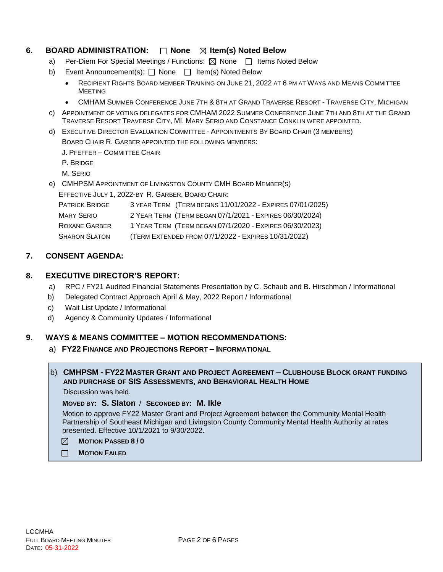### **6. BOARD ADMINISTRATION:**  $\Box$  **None**  $\boxtimes$  **Item(s) Noted Below**

- a) Per-Diem For Special Meetings / Functions:  $\boxtimes$  None  $\Box$  Items Noted Below
- b) Event Announcement(s): □ None □ Item(s) Noted Below
	- RECIPIENT RIGHTS BOARD MEMBER TRAINING ON JUNE 21, 2022 AT 6 PM AT WAYS AND MEANS COMMITTEE MEETING
	- CMHAM SUMMER CONFERENCE JUNE 7TH & 8TH AT GRAND TRAVERSE RESORT TRAVERSE CITY, MICHIGAN
- c) APPOINTMENT OF VOTING DELEGATES FOR CMHAM 2022 SUMMER CONFERENCE JUNE 7TH AND 8TH AT THE GRAND TRAVERSE RESORT TRAVERSE CITY, MI. MARY SERIO AND CONSTANCE CONKLIN WERE APPOINTED.
- d) EXECUTIVE DIRECTOR EVALUATION COMMITTEE APPOINTMENTS BY BOARD CHAIR (3 MEMBERS)

BOARD CHAIR R. GARBER APPOINTED THE FOLLOWING MEMBERS:

J. PFEFFER – COMMITTEE CHAIR

P. BRIDGE

M. SERIO

e) CMHPSM APPOINTMENT OF LIVINGSTON COUNTY CMH BOARD MEMBER(S) EFFECTIVE JULY 1, 2022-BY R. GARBER, BOARD CHAIR:

| <b>PATRICK BRIDGE</b> | 3 YEAR TERM (TERM BEGINS 11/01/2022 - EXPIRES 07/01/2025) |
|-----------------------|-----------------------------------------------------------|
| MARY <b>SERIO</b>     | 2 YEAR TERM (TERM BEGAN 07/1/2021 - EXPIRES 06/30/2024)   |
| <b>ROXANE GARBER</b>  | 1 YEAR TERM (TERM BEGAN 07/1/2020 - EXPIRES 06/30/2023)   |
| <b>SHARON SLATON</b>  | (TERM EXTENDED FROM 07/1/2022 - EXPIRES 10/31/2022)       |

#### **7. CONSENT AGENDA:**

#### **8. EXECUTIVE DIRECTOR'S REPORT:**

- a) RPC / FY21 Audited Financial Statements Presentation by C. Schaub and B. Hirschman / Informational
- b) Delegated Contract Approach April & May, 2022 Report / Informational
- c) Wait List Update / Informational
- d) Agency & Community Updates / Informational

#### **9. WAYS & MEANS COMMITTEE – MOTION RECOMMENDATIONS:**

a) **FY22 FINANCE AND PROJECTIONS REPORT – INFORMATIONAL**

#### b) **CMHPSM - FY22 MASTER GRANT AND PROJECT AGREEMENT – CLUBHOUSE BLOCK GRANT FUNDING AND PURCHASE OF SIS ASSESSMENTS, AND BEHAVIORAL HEALTH HOME**

Discussion was held.

#### **MOVED BY: S. Slaton** / **SECONDED BY: M. Ikle**

Motion to approve FY22 Master Grant and Project Agreement between the Community Mental Health Partnership of Southeast Michigan and Livingston County Community Mental Health Authority at rates presented. Effective 10/1/2021 to 9/30/2022.

- **MOTION PASSED 8 / 0**  $\boxtimes$
- $\Box$ **MOTION FAILED**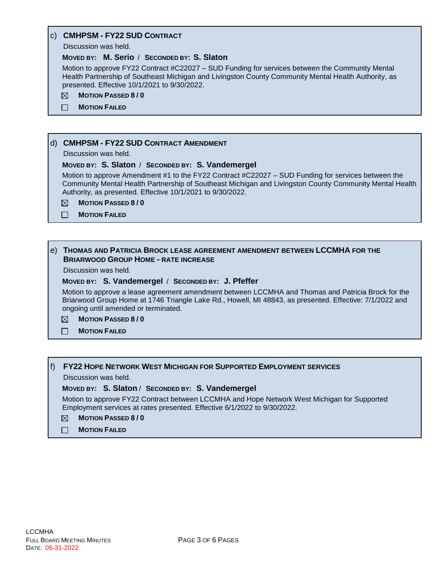#### c) **CMHPSM - FY22 SUD CONTRACT**

Discussion was held.

#### **MOVED BY: M. Serio** / **SECONDED BY: S. Slaton**

Motion to approve FY22 Contract #C22027 – SUD Funding for services between the Community Mental Health Partnership of Southeast Michigan and Livingston County Community Mental Health Authority, as presented. Effective 10/1/2021 to 9/30/2022.

- $\boxtimes$ **MOTION PASSED 8 / 0**
- $\Box$ **MOTION FAILED**

#### d) **CMHPSM - FY22 SUD CONTRACT AMENDMENT**

Discussion was held.

#### **MOVED BY: S. Slaton** / **SECONDED BY: S. Vandemergel**

Motion to approve Amendment #1 to the FY22 Contract #C22027 – SUD Funding for services between the Community Mental Health Partnership of Southeast Michigan and Livingston County Community Mental Health Authority, as presented. Effective 10/1/2021 to 9/30/2022.

**MOTION PASSED 8 / 0** ⊠

**MOTION FAILED**  $\Box$ 

#### e) **THOMAS AND PATRICIA BROCK LEASE AGREEMENT AMENDMENT BETWEEN LCCMHA FOR THE BRIARWOOD GROUP HOME - RATE INCREASE**

Discussion was held.

#### **MOVED BY: S. Vandemergel** / **SECONDED BY: J. Pfeffer**

Motion to approve a lease agreement amendment between LCCMHA and Thomas and Patricia Brock for the Briarwood Group Home at 1746 Triangle Lake Rd., Howell, MI 48843, as presented. Effective: 7/1/2022 and ongoing until amended or terminated.

#### **MOTION PASSED 8 / 0** ⊠

 $\Box$ **MOTION FAILED**

#### f) **FY22 HOPE NETWORK WEST MICHIGAN FOR SUPPORTED EMPLOYMENT SERVICES**

Discussion was held.

#### **MOVED BY: S. Slaton** / **SECONDED BY: S. Vandemergel**

Motion to approve FY22 Contract between LCCMHA and Hope Network West Michigan for Supported Employment services at rates presented. Effective 6/1/2022 to 9/30/2022.

- **MOTION PASSED 8 / 0**  $\boxtimes$
- $\Box$ **MOTION FAILED**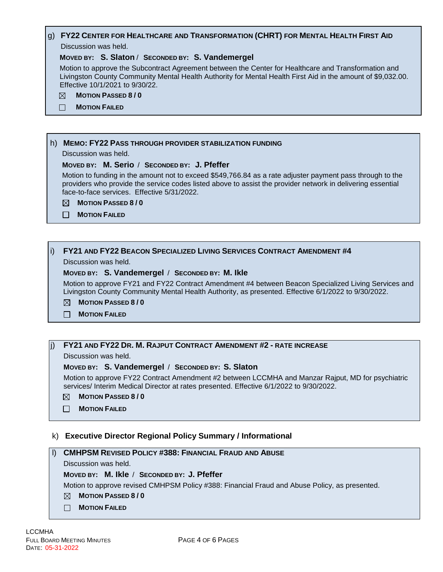#### g) **FY22 CENTER FOR HEALTHCARE AND TRANSFORMATION (CHRT) FOR MENTAL HEALTH FIRST AID** Discussion was held.

#### **MOVED BY: S. Slaton** / **SECONDED BY: S. Vandemergel**

Motion to approve the Subcontract Agreement between the Center for Healthcare and Transformation and Livingston County Community Mental Health Authority for Mental Health First Aid in the amount of \$9,032.00. Effective 10/1/2021 to 9/30/22.

- ⊠ **MOTION PASSED 8 / 0**
- $\Box$ **MOTION FAILED**

#### h) **MEMO: FY22 PASS THROUGH PROVIDER STABILIZATION FUNDING**

Discussion was held.

#### **MOVED BY: M. Serio** / **SECONDED BY: J. Pfeffer**

Motion to funding in the amount not to exceed \$549,766.84 as a rate adjuster payment pass through to the providers who provide the service codes listed above to assist the provider network in delivering essential face-to-face services. Effective 5/31/2022.

- **MOTION PASSED 8 / 0**
- **MOTION FAILED**

#### i) **FY21 AND FY22 BEACON SPECIALIZED LIVING SERVICES CONTRACT AMENDMENT #4**

Discussion was held.

#### **MOVED BY: S. Vandemergel** / **SECONDED BY: M. Ikle**

Motion to approve FY21 and FY22 Contract Amendment #4 between Beacon Specialized Living Services and Livingston County Community Mental Health Authority, as presented. Effective 6/1/2022 to 9/30/2022.

- $\boxtimes$ **MOTION PASSED 8 / 0**
- П. **MOTION FAILED**

#### j) **FY21 AND FY22 DR. M. RAJPUT CONTRACT AMENDMENT #2 - RATE INCREASE**

Discussion was held.

#### **MOVED BY: S. Vandemergel** / **SECONDED BY: S. Slaton**

Motion to approve FY22 Contract Amendment #2 between LCCMHA and Manzar Rajput, MD for psychiatric services/ Interim Medical Director at rates presented. Effective 6/1/2022 to 9/30/2022.

- **MOTION PASSED 8 / 0**  $\boxtimes$
- **MOTION FAILED**  $\Box$

#### k) **Executive Director Regional Policy Summary / Informational**

#### l) **CMHPSM REVISED POLICY #388: FINANCIAL FRAUD AND ABUSE**

Discussion was held.

#### **MOVED BY: M. Ikle** / **SECONDED BY: J. Pfeffer**

Motion to approve revised CMHPSM Policy #388: Financial Fraud and Abuse Policy, as presented.

- **MOTION PASSED 8 / 0**
- **MOTION FAILED**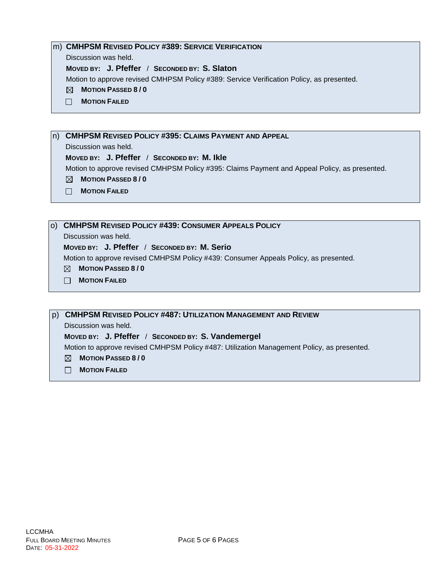#### m) **CMHPSM REVISED POLICY #389: SERVICE VERIFICATION**

Discussion was held.

**MOVED BY: J. Pfeffer** / **SECONDED BY: S. Slaton**

Motion to approve revised CMHPSM Policy #389: Service Verification Policy, as presented.

- **MOTION PASSED 8 / 0**
- **MOTION FAILED**

n) **CMHPSM REVISED POLICY #395: CLAIMS PAYMENT AND APPEAL**

Discussion was held.

#### **MOVED BY: J. Pfeffer** / **SECONDED BY: M. Ikle**

Motion to approve revised CMHPSM Policy #395: Claims Payment and Appeal Policy, as presented.

- **MOTION PASSED 8 / 0**
- **MOTION FAILED**

o) **CMHPSM REVISED POLICY #439: CONSUMER APPEALS POLICY**

Discussion was held.

#### **MOVED BY: J. Pfeffer** / **SECONDED BY: M. Serio**

Motion to approve revised CMHPSM Policy #439: Consumer Appeals Policy, as presented.

- **MOTION PASSED 8 / 0**
- **MOTION FAILED**

p) **CMHPSM REVISED POLICY #487: UTILIZATION MANAGEMENT AND REVIEW**

Discussion was held.

**MOVED BY: J. Pfeffer** / **SECONDED BY: S. Vandemergel**

Motion to approve revised CMHPSM Policy #487: Utilization Management Policy, as presented.

- **MOTION PASSED 8 / 0**
- **MOTION FAILED**